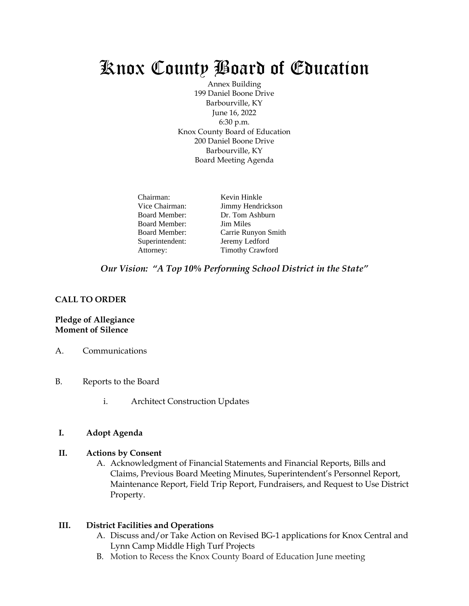# Knox County Board of Education

Annex Building 199 Daniel Boone Drive Barbourville, KY June 16, 2022 6:30 p.m. Knox County Board of Education 200 Daniel Boone Drive Barbourville, KY Board Meeting Agenda

| Chairman:            | Kevin Hinkle            |
|----------------------|-------------------------|
| Vice Chairman:       | Jimmy Hendrickson       |
| <b>Board Member:</b> | Dr. Tom Ashburn         |
| <b>Board Member:</b> | <b>Jim Miles</b>        |
| <b>Board Member:</b> | Carrie Runyon Smith     |
| Superintendent:      | Jeremy Ledford          |
| Attorney:            | <b>Timothy Crawford</b> |

#### *Our Vision: "A Top 10% Performing School District in the State"*

#### **CALL TO ORDER**

#### **Pledge of Allegiance Moment of Silence**

- A. Communications
- B. Reports to the Board
	- i. Architect Construction Updates

#### **I. Adopt Agenda**

#### **II. Actions by Consent**

A. Acknowledgment of Financial Statements and Financial Reports, Bills and Claims, Previous Board Meeting Minutes, Superintendent's Personnel Report, Maintenance Report, Field Trip Report, Fundraisers, and Request to Use District Property.

#### **III. District Facilities and Operations**

- A. Discuss and/or Take Action on Revised BG-1 applications for Knox Central and Lynn Camp Middle High Turf Projects
- B. Motion to Recess the Knox County Board of Education June meeting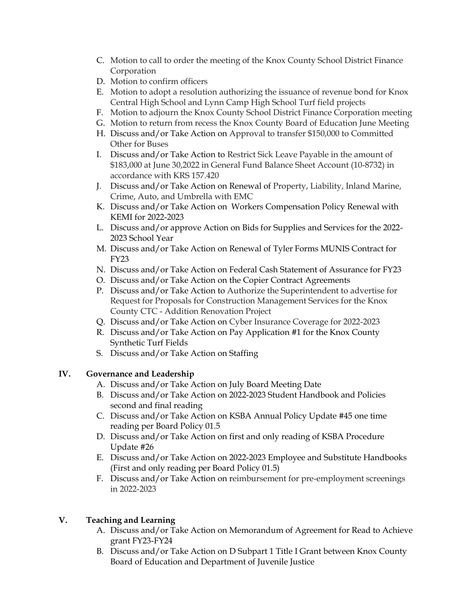- C. Motion to call to order the meeting of the Knox County School District Finance Corporation
- D. Motion to confirm officers
- E. Motion to adopt a resolution authorizing the issuance of revenue bond for Knox Central High School and Lynn Camp High School Turf field projects
- F. Motion to adjourn the Knox County School District Finance Corporation meeting
- G. Motion to return from recess the Knox County Board of Education June Meeting
- H. Discuss and/or Take Action on Approval to transfer \$150,000 to Committed Other for Buses
- I. Discuss and/or Take Action to Restrict Sick Leave Payable in the amount of \$183,000 at June 30,2022 in General Fund Balance Sheet Account (10-8732) in accordance with KRS 157.420
- J. Discuss and/or Take Action on Renewal of Property, Liability, Inland Marine, Crime, Auto, and Umbrella with EMC
- K. Discuss and/or Take Action on Workers Compensation Policy Renewal with KEMI for 2022-2023
- L. Discuss and/or approve Action on Bids for Supplies and Services for the 2022- 2023 School Year
- M. Discuss and/or Take Action on Renewal of Tyler Forms MUNIS Contract for FY23
- N. Discuss and/or Take Action on Federal Cash Statement of Assurance for FY23
- O. Discuss and/or Take Action on the Copier Contract Agreements
- P. Discuss and/or Take Action to Authorize the Superintendent to advertise for Request for Proposals for Construction Management Services for the Knox County CTC - Addition Renovation Project
- Q. Discuss and/or Take Action on Cyber Insurance Coverage for 2022-2023
- R. Discuss and/or Take Action on Pay Application #1 for the Knox County Synthetic Turf Fields
- S. Discuss and/or Take Action on Staffing

## **IV. Governance and Leadership**

- A. Discuss and/or Take Action on July Board Meeting Date
- B. Discuss and/or Take Action on 2022-2023 Student Handbook and Policies second and final reading
- C. Discuss and/or Take Action on KSBA Annual Policy Update #45 one time reading per Board Policy 01.5
- D. Discuss and/or Take Action on first and only reading of KSBA Procedure Update #26
- E. Discuss and/or Take Action on 2022-2023 Employee and Substitute Handbooks (First and only reading per Board Policy 01.5)
- F. Discuss and/or Take Action on reimbursement for pre-employment screenings in 2022-2023

# **V. Teaching and Learning**

- A. Discuss and/or Take Action on Memorandum of Agreement for Read to Achieve grant FY23-FY24
- B. Discuss and/or Take Action on D Subpart 1 Title I Grant between Knox County Board of Education and Department of Juvenile Justice